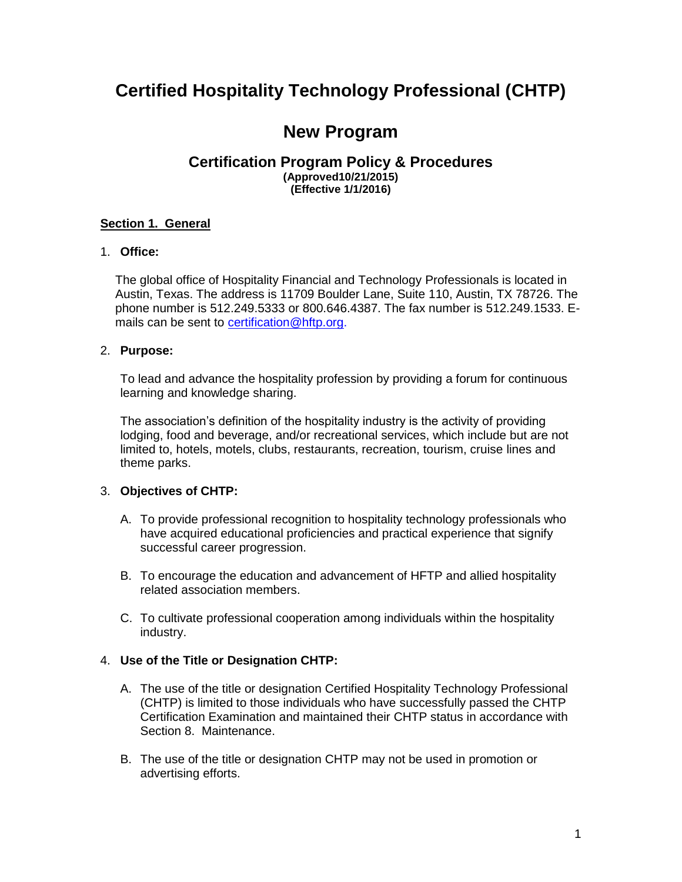# **Certified Hospitality Technology Professional (CHTP)**

# **New Program**

## **Certification Program Policy & Procedures (Approved10/21/2015) (Effective 1/1/2016)**

# **Section 1. General**

## 1. **Office:**

The global office of Hospitality Financial and Technology Professionals is located in Austin, Texas. The address is 11709 Boulder Lane, Suite 110, Austin, TX 78726. The phone number is 512.249.5333 or 800.646.4387. The fax number is 512.249.1533. Emails can be sent to [certification@hftp.org.](mailto:certification@hftp.org)

# 2. **Purpose:**

To lead and advance the hospitality profession by providing a forum for continuous learning and knowledge sharing.

The association's definition of the hospitality industry is the activity of providing lodging, food and beverage, and/or recreational services, which include but are not limited to, hotels, motels, clubs, restaurants, recreation, tourism, cruise lines and theme parks.

# 3. **Objectives of CHTP:**

- A. To provide professional recognition to hospitality technology professionals who have acquired educational proficiencies and practical experience that signify successful career progression.
- B. To encourage the education and advancement of HFTP and allied hospitality related association members.
- C. To cultivate professional cooperation among individuals within the hospitality industry.

## 4. **Use of the Title or Designation CHTP:**

- A. The use of the title or designation Certified Hospitality Technology Professional (CHTP) is limited to those individuals who have successfully passed the CHTP Certification Examination and maintained their CHTP status in accordance with Section 8. Maintenance.
- B. The use of the title or designation CHTP may not be used in promotion or advertising efforts.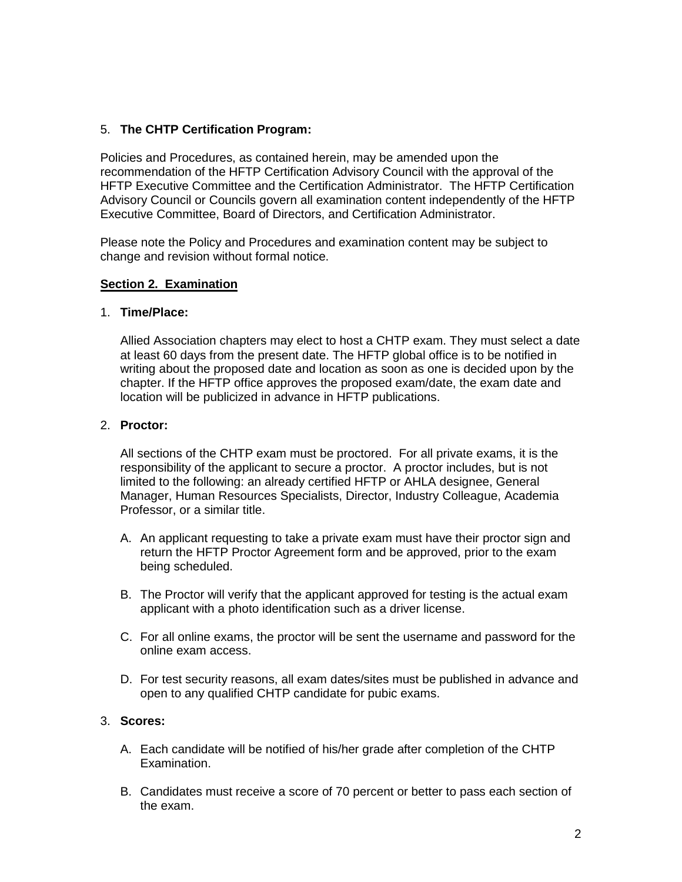# 5. **The CHTP Certification Program:**

Policies and Procedures, as contained herein, may be amended upon the recommendation of the HFTP Certification Advisory Council with the approval of the HFTP Executive Committee and the Certification Administrator. The HFTP Certification Advisory Council or Councils govern all examination content independently of the HFTP Executive Committee, Board of Directors, and Certification Administrator.

Please note the Policy and Procedures and examination content may be subject to change and revision without formal notice.

#### **Section 2. Examination**

#### 1. **Time/Place:**

Allied Association chapters may elect to host a CHTP exam. They must select a date at least 60 days from the present date. The HFTP global office is to be notified in writing about the proposed date and location as soon as one is decided upon by the chapter. If the HFTP office approves the proposed exam/date, the exam date and location will be publicized in advance in HFTP publications.

#### 2. **Proctor:**

All sections of the CHTP exam must be proctored. For all private exams, it is the responsibility of the applicant to secure a proctor. A proctor includes, but is not limited to the following: an already certified HFTP or AHLA designee, General Manager, Human Resources Specialists, Director, Industry Colleague, Academia Professor, or a similar title.

- A. An applicant requesting to take a private exam must have their proctor sign and return the HFTP Proctor Agreement form and be approved, prior to the exam being scheduled.
- B. The Proctor will verify that the applicant approved for testing is the actual exam applicant with a photo identification such as a driver license.
- C. For all online exams, the proctor will be sent the username and password for the online exam access.
- D. For test security reasons, all exam dates/sites must be published in advance and open to any qualified CHTP candidate for pubic exams.

## 3. **Scores:**

- A. Each candidate will be notified of his/her grade after completion of the CHTP Examination.
- B. Candidates must receive a score of 70 percent or better to pass each section of the exam.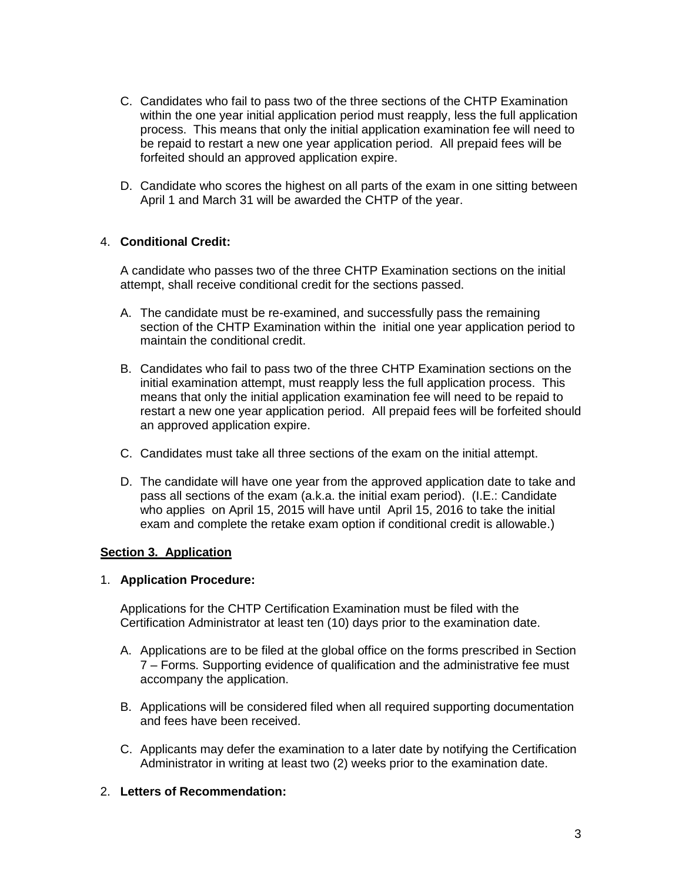- C. Candidates who fail to pass two of the three sections of the CHTP Examination within the one year initial application period must reapply, less the full application process. This means that only the initial application examination fee will need to be repaid to restart a new one year application period. All prepaid fees will be forfeited should an approved application expire.
- D. Candidate who scores the highest on all parts of the exam in one sitting between April 1 and March 31 will be awarded the CHTP of the year.

## 4. **Conditional Credit:**

A candidate who passes two of the three CHTP Examination sections on the initial attempt, shall receive conditional credit for the sections passed.

- A. The candidate must be re-examined, and successfully pass the remaining section of the CHTP Examination within the initial one year application period to maintain the conditional credit.
- B. Candidates who fail to pass two of the three CHTP Examination sections on the initial examination attempt, must reapply less the full application process. This means that only the initial application examination fee will need to be repaid to restart a new one year application period. All prepaid fees will be forfeited should an approved application expire.
- C. Candidates must take all three sections of the exam on the initial attempt.
- D. The candidate will have one year from the approved application date to take and pass all sections of the exam (a.k.a. the initial exam period). (I.E.: Candidate who applies on April 15, 2015 will have until April 15, 2016 to take the initial exam and complete the retake exam option if conditional credit is allowable.)

## **Section 3. Application**

#### 1. **Application Procedure:**

Applications for the CHTP Certification Examination must be filed with the Certification Administrator at least ten (10) days prior to the examination date.

- A. Applications are to be filed at the global office on the forms prescribed in Section 7 – Forms. Supporting evidence of qualification and the administrative fee must accompany the application.
- B. Applications will be considered filed when all required supporting documentation and fees have been received.
- C. Applicants may defer the examination to a later date by notifying the Certification Administrator in writing at least two (2) weeks prior to the examination date.

#### 2. **Letters of Recommendation:**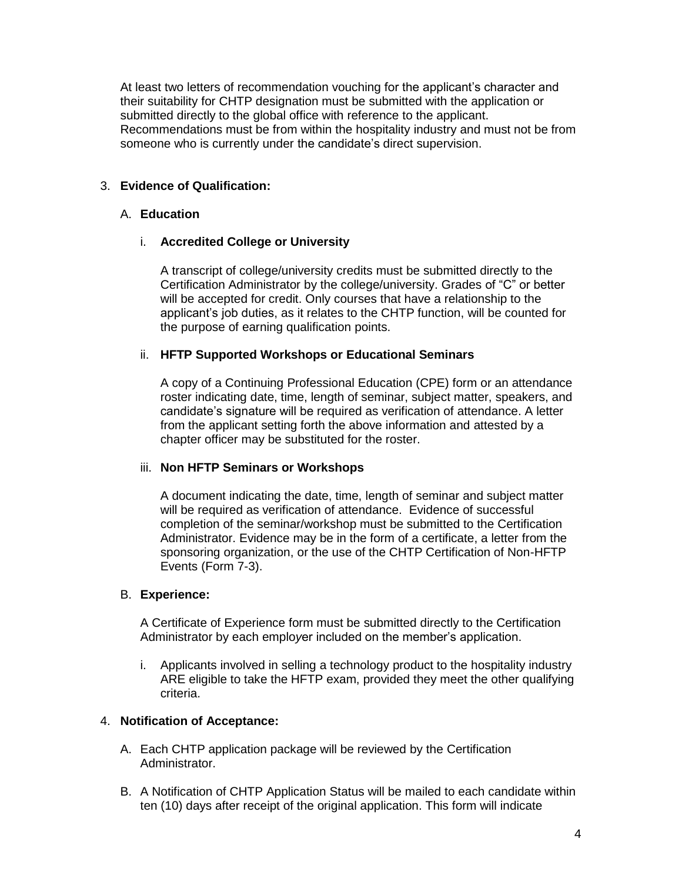At least two letters of recommendation vouching for the applicant's character and their suitability for CHTP designation must be submitted with the application or submitted directly to the global office with reference to the applicant. Recommendations must be from within the hospitality industry and must not be from someone who is currently under the candidate's direct supervision.

# 3. **Evidence of Qualification:**

#### A. **Education**

## i. **Accredited College or University**

A transcript of college/university credits must be submitted directly to the Certification Administrator by the college/university. Grades of "C" or better will be accepted for credit. Only courses that have a relationship to the applicant's job duties, as it relates to the CHTP function, will be counted for the purpose of earning qualification points.

#### ii. **HFTP Supported Workshops or Educational Seminars**

A copy of a Continuing Professional Education (CPE) form or an attendance roster indicating date, time, length of seminar, subject matter, speakers, and candidate's signature will be required as verification of attendance. A letter from the applicant setting forth the above information and attested by a chapter officer may be substituted for the roster.

#### iii. **Non HFTP Seminars or Workshops**

A document indicating the date, time, length of seminar and subject matter will be required as verification of attendance. Evidence of successful completion of the seminar/workshop must be submitted to the Certification Administrator. Evidence may be in the form of a certificate, a letter from the sponsoring organization, or the use of the CHTP Certification of Non-HFTP Events (Form 7-3).

## B. **Experience:**

A Certificate of Experience form must be submitted directly to the Certification Administrator by each emplo*y*er included on the member's application.

i. Applicants involved in selling a te*c*hnology product to the hospitality industry ARE eligible to take the HFTP exam, provided they meet the other qualifying criteria.

## 4. **Notification of Acceptance:**

- A. Each CHTP application package will be reviewed by the Certification Administrator.
- B. A Notification of CHTP Application Status will be mailed to each candidate within ten (10) days after receipt of the original application. This form will indicate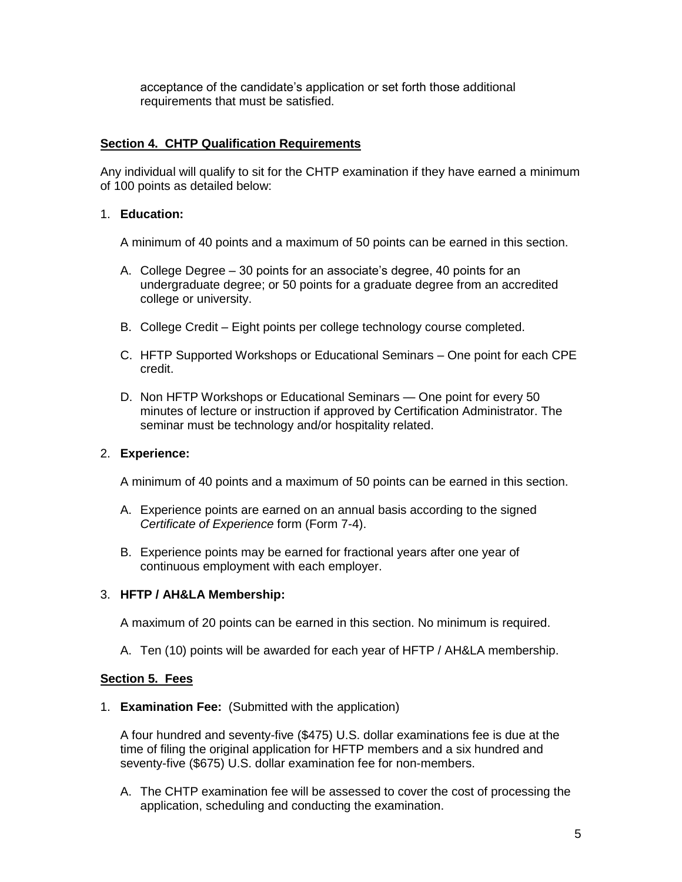acceptance of the candidate's application or set forth those additional requirements that must be satisfied.

## **Section 4. CHTP Qualification Requirements**

Any individual will qualify to sit for the CHTP examination if they have earned a minimum of 100 points as detailed below:

#### 1. **Education:**

A minimum of 40 points and a maximum of 50 points can be earned in this section.

- A. College Degree 30 points for an associate's degree, 40 points for an undergraduate degree; or 50 points for a graduate degree from an accredited college or university.
- B. College Credit Eight points per college technology course completed.
- C. HFTP Supported Workshops or Educational Seminars One point for each CPE credit.
- D. Non HFTP Workshops or Educational Seminars One point for every 50 minutes of lecture or instruction if approved by Certification Administrator. The seminar must be technology and/or hospitality related.

## 2. **Experience:**

A minimum of 40 points and a maximum of 50 points can be earned in this section.

- A. Experience points are earned on an annual basis according to the signed *Certificate of Experience* form (Form 7-4).
- B. Experience points may be earned for fractional years after one year of continuous employment with each employer.

## 3. **HFTP / AH&LA Membership:**

A maximum of 20 points can be earned in this section. No minimum is required.

A. Ten (10) points will be awarded for each year of HFTP / AH&LA membership.

## **Section 5. Fees**

1. **Examination Fee:** (Submitted with the application)

A four hundred and seventy-five (\$475) U.S. dollar examinations fee is due at the time of filing the original application for HFTP members and a six hundred and seventy-five (\$675) U.S. dollar examination fee for non-members.

A. The CHTP examination fee will be assessed to cover the cost of processing the application, scheduling and conducting the examination.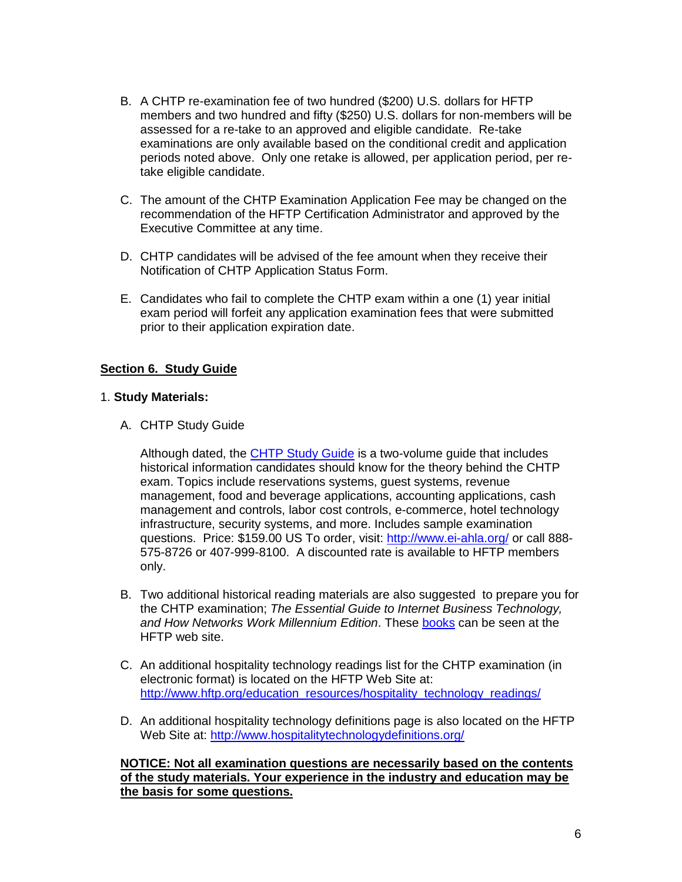- B. A CHTP re-examination fee of two hundred (\$200) U.S. dollars for HFTP members and two hundred and fifty (\$250) U.S. dollars for non-members will be assessed for a re-take to an approved and eligible candidate. Re-take examinations are only available based on the conditional credit and application periods noted above. Only one retake is allowed, per application period, per retake eligible candidate.
- C. The amount of the CHTP Examination Application Fee may be changed on the recommendation of the HFTP Certification Administrator and approved by the Executive Committee at any time.
- D. CHTP candidates will be advised of the fee amount when they receive their Notification of CHTP Application Status Form.
- E. Candidates who fail to complete the CHTP exam within a one (1) year initial exam period will forfeit any application examination fees that were submitted prior to their application expiration date.

## **Section 6. Study Guide**

#### 1. **Study Materials:**

A. CHTP Study Guide

Although dated, the [CHTP Study Guide](http://www.hftp.org/career_development/certifications/chtp/study_guide/) is a two-volume guide that includes historical information candidates should know for the theory behind the CHTP exam. Topics include reservations systems, guest systems, revenue management, food and beverage applications, accounting applications, cash management and controls, labor cost controls, e-commerce, hotel technology infrastructure, security systems, and more. Includes sample examination questions. Price: \$159.00 US To order, visit:<http://www.ei-ahla.org/> or call 888- 575-8726 or 407-999-8100. A discounted rate is available to HFTP members only.

- B. Two additional historical reading materials are also suggested to prepare you for the CHTP examination; *The Essential Guide to Internet Business Technology, and How Networks Work Millennium Edition*. These [books](http://www.hftp.org/career_development/certifications/chtp/study_guide/) can be seen at the HFTP web site.
- C. An additional hospitality technology readings list for the CHTP examination (in electronic format) is located on the HFTP Web Site at: [http://www.hftp.org/education\\_resources/hospitality\\_technology\\_readings/](http://www.hftp.org/education_resources/hospitality_technology_readings/)
- D. An additional hospitality technology definitions page is also located on the HFTP Web Site at:<http://www.hospitalitytechnologydefinitions.org/>

**NOTICE: Not all examination questions are necessarily based on the contents of the study materials. Your experience in the industry and education may be the basis for some questions.**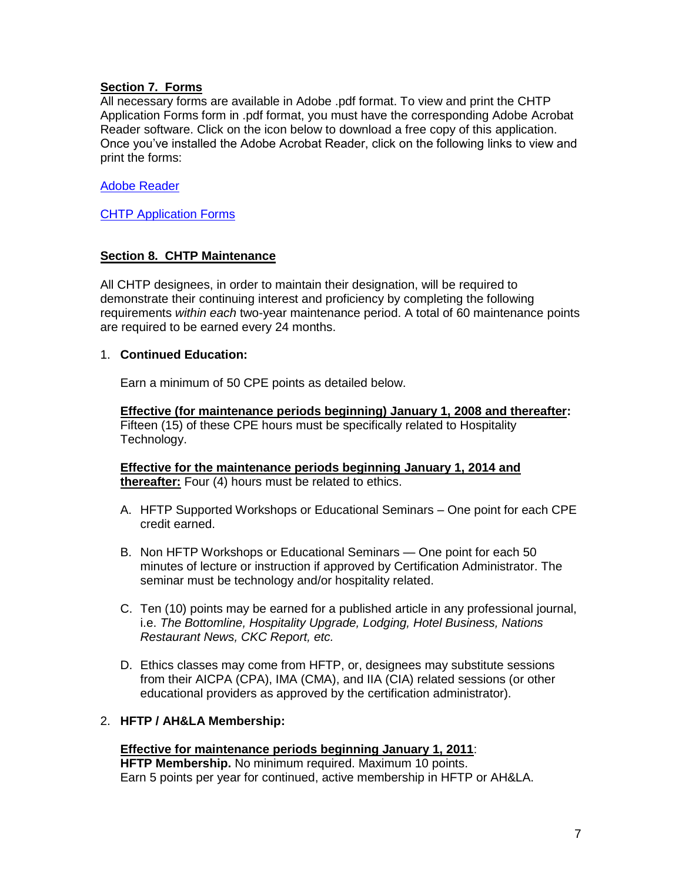# **Section 7. Forms**

All necessary forms are available in Adobe .pdf format. To view and print the CHTP Application Forms form in .pdf format, you must have the corresponding Adobe Acrobat Reader software. Click on the icon below to download a free copy of this application. Once you've installed the Adobe Acrobat Reader, click on the following links to view and print the forms:

[Adobe Reader](http://get.adobe.com/reader/)

[CHTP Application Forms](http://www.hftp.org/i/downloads/CHTP_Application.pdf)

# **Section 8. CHTP Maintenance**

All CHTP designees, in order to maintain their designation, will be required to demonstrate their continuing interest and proficiency by completing the following requirements *within each* two-year maintenance period. A total of 60 maintenance points are required to be earned every 24 months.

## 1. **Continued Education:**

Earn a minimum of 50 CPE points as detailed below.

**Effective (for maintenance periods beginning) January 1, 2008 and thereafter:**  Fifteen (15) of these CPE hours must be specifically related to Hospitality Technology.

**Effective for the maintenance periods beginning January 1, 2014 and thereafter:** Four (4) hours must be related to ethics.

- A. HFTP Supported Workshops or Educational Seminars One point for each CPE credit earned.
- B. Non HFTP Workshops or Educational Seminars One point for each 50 minutes of lecture or instruction if approved by Certification Administrator. The seminar must be technology and/or hospitality related.
- C. Ten (10) points may be earned for a published article in any professional journal, i.e. *The Bottomline, Hospitality Upgrade, Lodging, Hotel Business, Nations Restaurant News, CKC Report, etc.*
- D. Ethics classes may come from HFTP, or, designees may substitute sessions from their AICPA (CPA), IMA (CMA), and IIA (CIA) related sessions (or other educational providers as approved by the certification administrator).

# 2. **HFTP / AH&LA Membership:**

**Effective for maintenance periods beginning January 1, 2011**: **HFTP Membership.** No minimum required. Maximum 10 points. Earn 5 points per year for continued, active membership in HFTP or AH&LA.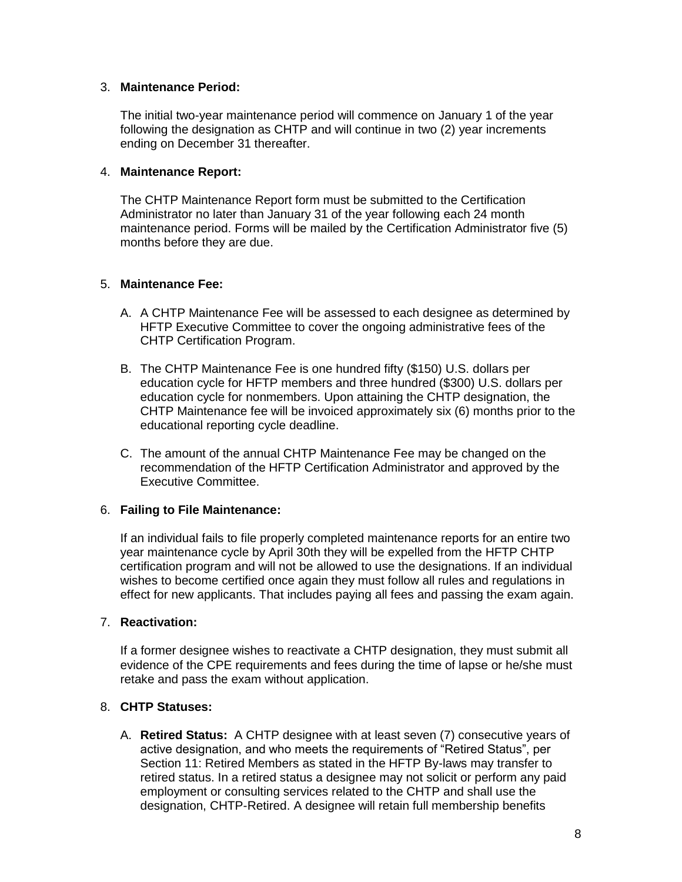## 3. **Maintenance Period:**

The initial two-year maintenance period will commence on January 1 of the year following the designation as CHTP and will continue in two (2) year increments ending on December 31 thereafter.

#### 4. **Maintenance Report:**

The CHTP Maintenance Report form must be submitted to the Certification Administrator no later than January 31 of the year following each 24 month maintenance period. Forms will be mailed by the Certification Administrator five (5) months before they are due.

#### 5. **Maintenance Fee:**

- A. A CHTP Maintenance Fee will be assessed to each designee as determined by HFTP Executive Committee to cover the ongoing administrative fees of the CHTP Certification Program.
- B. The CHTP Maintenance Fee is one hundred fifty (\$150) U.S. dollars per education cycle for HFTP members and three hundred (\$300) U.S. dollars per education cycle for nonmembers. Upon attaining the CHTP designation, the CHTP Maintenance fee will be invoiced approximately six (6) months prior to the educational reporting cycle deadline.
- C. The amount of the annual CHTP Maintenance Fee may be changed on the recommendation of the HFTP Certification Administrator and approved by the Executive Committee.

## 6. **Failing to File Maintenance:**

If an individual fails to file properly completed maintenance reports for an entire two year maintenance cycle by April 30th they will be expelled from the HFTP CHTP certification program and will not be allowed to use the designations. If an individual wishes to become certified once again they must follow all rules and regulations in effect for new applicants. That includes paying all fees and passing the exam again.

#### 7. **Reactivation:**

If a former designee wishes to reactivate a CHTP designation, they must submit all evidence of the CPE requirements and fees during the time of lapse or he/she must retake and pass the exam without application.

#### 8. **CHTP Statuses:**

A. **Retired Status:** A CHTP designee with at least seven (7) consecutive years of active designation, and who meets the requirements of "Retired Status", per Section 11: Retired Members as stated in the HFTP By-laws may transfer to retired status. In a retired status a designee may not solicit or perform any paid employment or consulting services related to the CHTP and shall use the designation, CHTP-Retired. A designee will retain full membership benefits